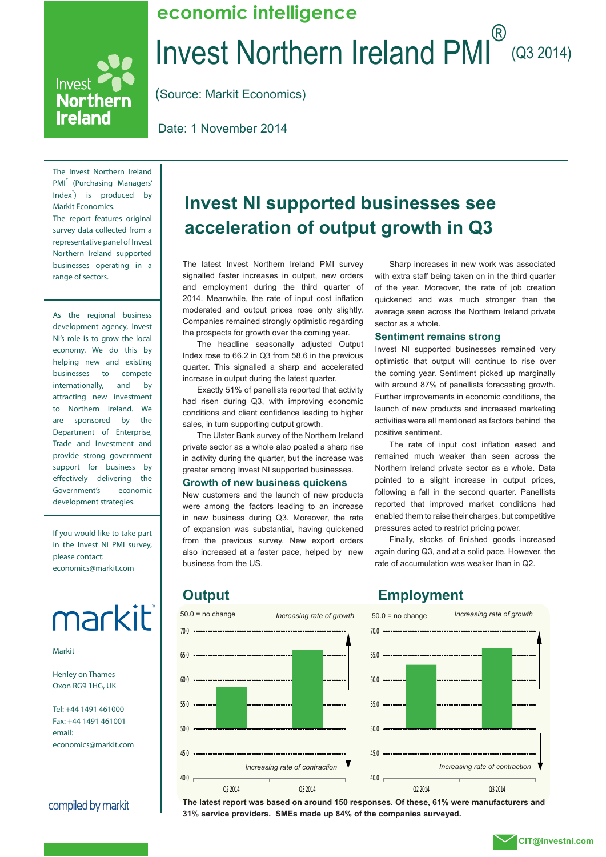### Invest Northern Ireland PMI (Q3 2014) **economic intelligence**

(Source: Markit Economics)

Date: 1 November 2014

The Invest Northern Ireland PMI<sup>®</sup> (Purchasing Managers' Index<sup>®</sup>) is produced by Markit Economics. The report features original survey data collected from a representative panel of Invest Northern Ireland supported businesses operating in a range of sectors.

Invest

Northern **Ireland** 

As the regional business development agency, Invest NI's role is to grow the local economy. We do this by helping new and existing businesses to compete internationally, and by attracting new investment to Northern Ireland. We are sponsored by the Department of Enterprise, Trade and Investment and provide strong government support for business by effectively delivering the Government's economic development strategies.

If you would like to take part in the Invest NI PMI survey, please contact: economics@markit.com

# markit®

Markit

Henley on Thames Oxon RG9 1HG, UK

Tel: +44 1491 461000 Fax: +44 1491 461001 email: economics@markit.com

compiled by markit

### **Invest NI supported businesses see acceleration of output growth in Q3**

The latest Invest Northern Ireland PMI survey signalled faster increases in output, new orders and employment during the third quarter of 2014. Meanwhile, the rate of input cost inflation moderated and output prices rose only slightly. Companies remained strongly optimistic regarding the prospects for growth over the coming year.

The headline seasonally adjusted Output Index rose to 66.2 in Q3 from 58.6 in the previous quarter. This signalled a sharp and accelerated increase in output during the latest quarter.

Exactly 51% of panellists reported that activity had risen during Q3, with improving economic conditions and client confidence leading to higher sales, in turn supporting output growth.

The Ulster Bank survey of the Northern Ireland private sector as a whole also posted a sharp rise in activity during the quarter, but the increase was greater among Invest NI supported businesses.

#### **Growth of new business quickens**

New customers and the launch of new products were among the factors leading to an increase in new business during Q3. Moreover, the rate of expansion was substantial, having quickened from the previous survey. New export orders also increased at a faster pace, helped by new business from the US.

Sharp increases in new work was associated with extra staff being taken on in the third quarter of the year. Moreover, the rate of job creation quickened and was much stronger than the average seen across the Northern Ireland private sector as a whole.

#### **Sentiment remains strong**

Invest NI supported businesses remained very optimistic that output will continue to rise over the coming year. Sentiment picked up marginally with around 87% of panellists forecasting growth. Further improvements in economic conditions, the launch of new products and increased marketing activities were all mentioned as factors behind the positive sentiment.

The rate of input cost inflation eased and remained much weaker than seen across the Northern Ireland private sector as a whole. Data pointed to a slight increase in output prices, following a fall in the second quarter. Panellists reported that improved market conditions had enabled them to raise their charges, but competitive pressures acted to restrict pricing power.

Finally, stocks of finished goods increased again during Q3, and at a solid pace. However, the rate of accumulation was weaker than in Q2.



### **Output Employment**



**The latest report was based on around 150 responses. Of these, 61% were manufacturers and 31% service providers. SMEs made up 84% of the companies surveyed.**

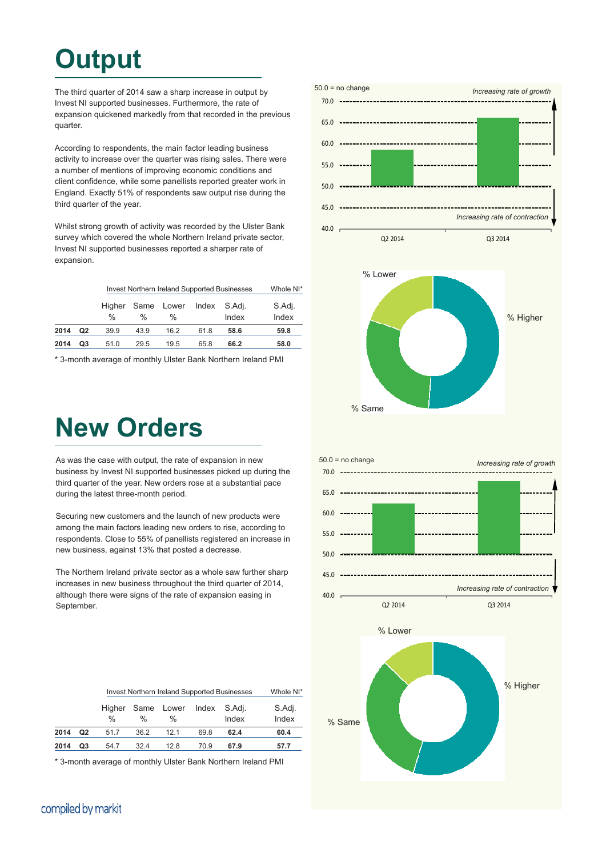## **Output**

The third quarter of 2014 saw a sharp increase in output by Invest NI supported businesses. Furthermore, the rate of expansion quickened markedly from that recorded in the previous quarter.

According to respondents, the main factor leading business activity to increase over the quarter was rising sales. There were a number of mentions of improving economic conditions and client confidence, while some panellists reported greater work in England. Exactly 51% of respondents saw output rise during the third quarter of the year.

Whilst strong growth of activity was recorded by the Ulster Bank survey which covered the whole Northern Ireland private sector, Invest NI supported businesses reported a sharper rate of expansion.

|      |    | <b>Invest Northern Ireland Supported Businesses</b> | Whole NI* |                 |       |                 |                 |
|------|----|-----------------------------------------------------|-----------|-----------------|-------|-----------------|-----------------|
|      |    | Higher<br>$\frac{0}{0}$                             | %         | Same Lower<br>% | Index | S.Adi.<br>Index | S.Adj.<br>Index |
| 2014 | Q2 | 39.9                                                | 43.9      | 16.2            | 61.8  | 58.6            | 59.8            |
| 2014 | Q3 | 51.0                                                | 29.5      | 19.5            | 65.8  | 66.2            | 58.0            |

\* 3-month average of monthly Ulster Bank Northern Ireland PMI

### **New Orders**

As was the case with output, the rate of expansion in new business by Invest NI supported businesses picked up during the third quarter of the year. New orders rose at a substantial pace during the latest three-month period.

Securing new customers and the launch of new products were among the main factors leading new orders to rise, according to respondents. Close to 55% of panellists registered an increase in new business, against 13% that posted a decrease.

The Northern Ireland private sector as a whole saw further sharp increases in new business throughout the third quarter of 2014, although there were signs of the rate of expansion easing in September.



|      |    | <b>Invest Northern Ireland Supported Businesses</b> | Whole NI* |                 |       |                 |                 |
|------|----|-----------------------------------------------------|-----------|-----------------|-------|-----------------|-----------------|
|      |    | Higher<br>$\frac{0}{0}$                             | %         | Same Lower<br>% | Index | S.Adj.<br>Index | S.Adj.<br>Index |
| 2014 | Q2 | 51.7                                                | 36.2      | 12.1            | 69.8  | 62.4            | 60.4            |
| 2014 | Q3 | 54.7                                                | 32.4      | 12.8            | 70.9  | 67.9            | 57.7            |

\* 3-month average of monthly Ulster Bank Northern Ireland PMI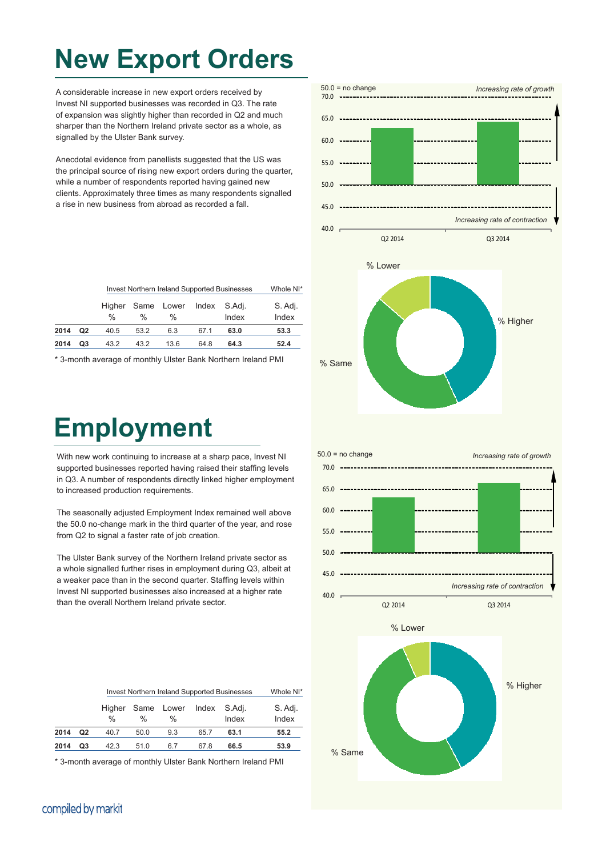### **New Export Orders**

A considerable increase in new export orders received by Invest NI supported businesses was recorded in Q3. The rate of expansion was slightly higher than recorded in Q2 and much sharper than the Northern Ireland private sector as a whole, as signalled by the Ulster Bank survey.

Anecdotal evidence from panellists suggested that the US was the principal source of rising new export orders during the quarter, while a number of respondents reported having gained new clients. Approximately three times as many respondents signalled a rise in new business from abroad as recorded a fall.

|      |                | <b>Invest Northern Ireland Supported Businesses</b> | Whole NI* |                 |       |                 |                  |
|------|----------------|-----------------------------------------------------|-----------|-----------------|-------|-----------------|------------------|
|      |                | Higher<br>$\frac{0}{0}$                             | %         | Same Lower<br>% | Index | S.Adi.<br>Index | S. Adj.<br>Index |
| 2014 | Q <sub>2</sub> | 40.5                                                | 53.2      | 6.3             | 67.1  | 63.0            | 53.3             |
| 2014 | Q3             | 43.2                                                | 43.2      | 13.6            | 64.8  | 64.3            | 52.4             |

\* 3-month average of monthly Ulster Bank Northern Ireland PMI

## **Employment**

With new work continuing to increase at a sharp pace, Invest NI supported businesses reported having raised their staffing levels in Q3. A number of respondents directly linked higher employment to increased production requirements.

The seasonally adjusted Employment Index remained well above the 50.0 no-change mark in the third quarter of the year, and rose from Q2 to signal a faster rate of job creation.

The Ulster Bank survey of the Northern Ireland private sector as a whole signalled further rises in employment during Q3, albeit at a weaker pace than in the second quarter. Staffing levels within Invest NI supported businesses also increased at a higher rate than the overall Northern Ireland private sector.



\* 3-month average of monthly Ulster Bank Northern Ireland PMI

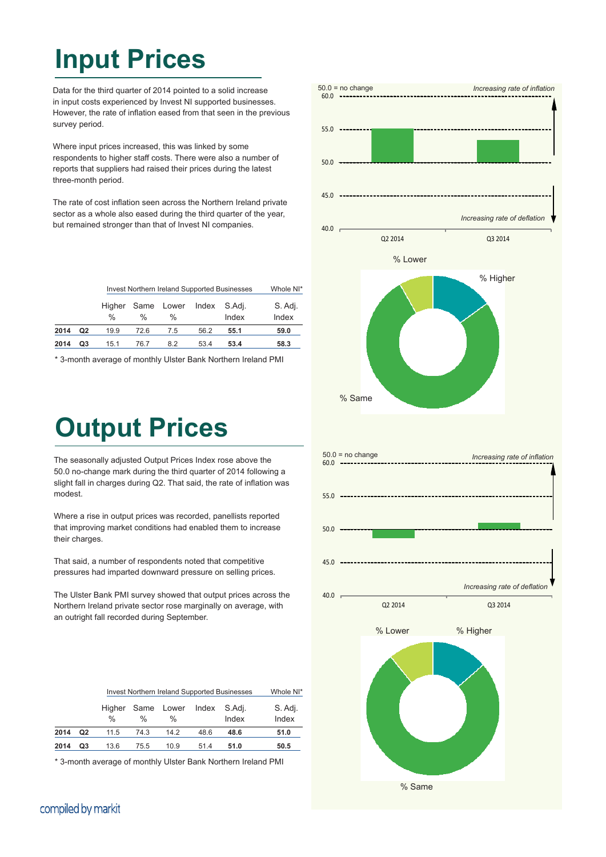### **Input Prices**

Data for the third quarter of 2014 pointed to a solid increase in input costs experienced by Invest NI supported businesses. However, the rate of inflation eased from that seen in the previous survey period.

Where input prices increased, this was linked by some respondents to higher staff costs. There were also a number of reports that suppliers had raised their prices during the latest three-month period.

The rate of cost inflation seen across the Northern Ireland private sector as a whole also eased during the third quarter of the year, but remained stronger than that of Invest NI companies.

|      |    | <b>Invest Northern Ireland Supported Businesses</b> | Whole NI* |                        |              |       |                  |
|------|----|-----------------------------------------------------|-----------|------------------------|--------------|-------|------------------|
|      |    | $\frac{0}{0}$                                       | %         | Higher Same Lower<br>% | Index S.Adj. | Index | S. Adj.<br>Index |
| 2014 | Q2 | 19.9                                                | 72.6      | 7.5                    | 56.2         | 55.1  | 59.0             |
| 2014 | Q3 | 15.1                                                | 76.7      | 8.2                    | 53.4         | 53.4  | 58.3             |

\* 3-month average of monthly Ulster Bank Northern Ireland PMI

### **Output Prices**

The seasonally adjusted Output Prices Index rose above the 50.0 no-change mark during the third quarter of 2014 following a slight fall in charges during Q2. That said, the rate of inflation was modest.

Where a rise in output prices was recorded, panellists reported that improving market conditions had enabled them to increase their charges.

That said, a number of respondents noted that competitive pressures had imparted downward pressure on selling prices.

The Ulster Bank PMI survey showed that output prices across the Northern Ireland private sector rose marginally on average, with an outright fall recorded during September.

|      |    | <b>Invest Northern Ireland Supported Businesses</b> | Whole NI* |                 |              |       |                  |
|------|----|-----------------------------------------------------|-----------|-----------------|--------------|-------|------------------|
|      |    | Higher<br>$\frac{0}{0}$                             | %         | Same Lower<br>% | Index S.Adj. | Index | S. Adj.<br>Index |
| 2014 | Q2 | 11.5                                                | 74.3      | 14.2            | 48.6         | 48.6  | 51.0             |
| 2014 | Q3 | 13.6                                                | 75.5      | 10.9            | 51.4         | 51.0  | 50.5             |

\* 3-month average of monthly Ulster Bank Northern Ireland PMI



### compiled by markit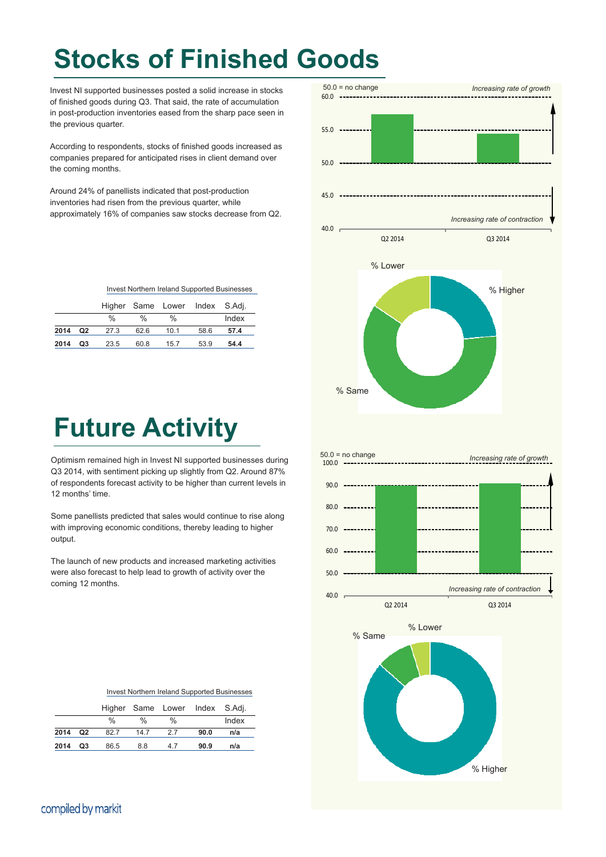## **Stocks of Finished Goods**

Invest NI supported businesses posted a solid increase in stocks of finished goods during Q3. That said, the rate of accumulation in post-production inventories eased from the sharp pace seen in the previous quarter.

According to respondents, stocks of finished goods increased as companies prepared for anticipated rises in client demand over the coming months.

Around 24% of panellists indicated that post-production inventories had risen from the previous quarter, while approximately 16% of companies saw stocks decrease from Q2.

|  |  | Invest Northern Ireland Supported Businesses |
|--|--|----------------------------------------------|
|  |  |                                              |

|      |                |      |      | Higher Same Lower Index S.Adj. |      |       |
|------|----------------|------|------|--------------------------------|------|-------|
|      |                | %    | %    | %                              |      | Index |
| 2014 | Q <sub>2</sub> | 27.3 | 62.6 | 10.1                           | 58.6 | 57.4  |
| 2014 | Q3             | 23.5 | 60.8 | 15.7                           | 53.9 | 54.4  |



Optimism remained high in Invest NI supported businesses during Q3 2014, with sentiment picking up slightly from Q2. Around 87% of respondents forecast activity to be higher than current levels in 12 months' time.

Some panellists predicted that sales would continue to rise along with improving economic conditions, thereby leading to higher output.

The launch of new products and increased marketing activities were also forecast to help lead to growth of activity over the coming 12 months.



|      |                |      |               | Higher Same Lower Index S.Adj. |      |       |
|------|----------------|------|---------------|--------------------------------|------|-------|
|      |                | %    | $\frac{0}{0}$ | %                              |      | Index |
| 2014 | Q <sub>2</sub> | 82.7 | 14.7          | 27                             | 90.0 | n/a   |
| 2014 | Q3             | 86.5 | 8.8           | 47                             | 90.9 | n/a   |